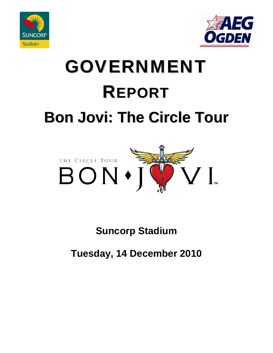



# GOVERNMENT REPORT **Bon Jovi: The Circle Tour**



# **Suncorp Stadium**

# **Tuesday, 14 December 2010**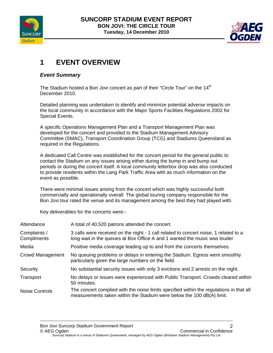



# **1 EVENT OVERVIEW**

#### *Event Summary*

The Stadium hosted a Bon Jovi concert as part of their "Circle Tour" on the 14<sup>th</sup> December 2010.

Detailed planning was undertaken to identify and minimize potential adverse impacts on the local community in accordance with the Major Sports Facilities Regulations 2002 for Special Events.

A specific Operations Management Plan and a Transport Management Plan was developed for the concert and provided to the Stadium Management Advisory Committee (SMAC), Transport Coordination Group (TCG) and Stadiums Queensland as required in the Regulations.

A dedicated Call Centre was established for the concert period for the general public to contact the Stadium on any issues arising either during the bump in and bump out periods or during the concert itself. A local community letterbox drop was also conducted to provide residents within the Lang Park Traffic Area with as much information on the event as possible.

There were minimal issues arising from the concert which was highly successful both commercially and operationally overall. The global touring company responsible for the Bon Jovi tour rated the venue and its management among the best they had played with.

Key deliverables for the concerts were:-

| Attendance                  | A total of 40,520 patrons attended the concert.                                                                                                                    |  |
|-----------------------------|--------------------------------------------------------------------------------------------------------------------------------------------------------------------|--|
| Complaints /<br>Compliments | 3 calls were received on the night - 1 call related to concert noise, 1 related to a<br>long wait in the queues at Box Office A and 1 wanted the music was louder. |  |
| Media                       | Positive media coverage leading up to and from the concerts themselves.                                                                                            |  |
| Crowd Management            | No queuing problems or delays in entering the Stadium. Egress went smoothly<br>particularly given the large numbers on the field.                                  |  |
| Security                    | No substantial security issues with only 3 evictions and 2 arrests on the night.                                                                                   |  |
| Transport                   | No delays or issues were experienced with Public Transport. Crowds cleared within<br>50 minutes.                                                                   |  |
| <b>Noise Controls</b>       | The concert complied with the noise limits specified within the regulations in that all<br>measurements taken within the Stadium were below the 100 dB(A) limit.   |  |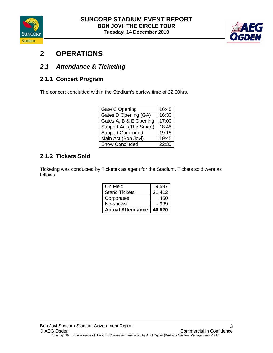



# **2 OPERATIONS**

### *2.1 Attendance & Ticketing*

#### **2.1.1 Concert Program**

The concert concluded within the Stadium's curfew time of 22:30hrs.

| Gate C Opening           | 16:45 |
|--------------------------|-------|
| Gates D Opening (GA)     | 16:30 |
| Gates A, B & E Opening   | 17:00 |
| Support Act (The Smart)  | 18:45 |
| <b>Support Concluded</b> | 19:15 |
| Main Act (Bon Jovi)      | 19:45 |
| <b>Show Concluded</b>    | 22:30 |

#### **2.1.2 Tickets Sold**

Ticketing was conducted by Ticketek as agent for the Stadium. Tickets sold were as follows:

| On Field                 | 9,597  |
|--------------------------|--------|
| <b>Stand Tickets</b>     | 31,412 |
| Corporates               | 450    |
| No-shows                 | - 939  |
| <b>Actual Attendance</b> | 40.520 |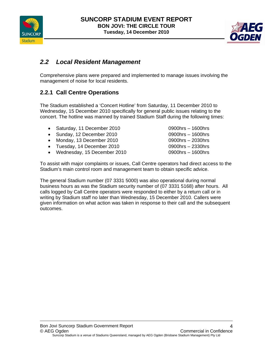



#### *2.2 Local Resident Management*

Comprehensive plans were prepared and implemented to manage issues involving the management of noise for local residents.

#### **2.2.1 Call Centre Operations**

The Stadium established a 'Concert Hotline' from Saturday, 11 December 2010 to Wednesday, 15 December 2010 specifically for general public issues relating to the concert. The hotline was manned by trained Stadium Staff during the following times:

- Saturday, 11 December 2010 0900hrs 1600hrs
- Sunday, 12 December 2010 0900hrs 1600hrs
- Monday, 13 December 2010 0900hrs 2030hrs
- Tuesday, 14 December 2010 0900hrs 2330hrs
- Wednesday, 15 December 2010 0900hrs 1600hrs

To assist with major complaints or issues, Call Centre operators had direct access to the Stadium's main control room and management team to obtain specific advice.

The general Stadium number (07 3331 5000) was also operational during normal business hours as was the Stadium security number of (07 3331 5168) after hours. All calls logged by Call Centre operators were responded to either by a return call or in writing by Stadium staff no later than Wednesday, 15 December 2010. Callers were given information on what action was taken in response to their call and the subsequent outcomes.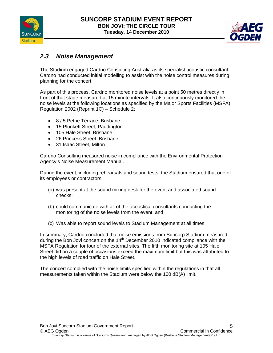



#### *2.3 Noise Management*

The Stadium engaged Cardno Consulting Australia as its specialist acoustic consultant. Cardno had conducted initial modelling to assist with the noise control measures during planning for the concert.

As part of this process, Cardno monitored noise levels at a point 50 metres directly in front of that stage measured at 15 minute intervals. It also continuously monitored the noise levels at the following locations as specified by the Major Sports Facilities (MSFA) Regulation 2002 (Reprint 1C) – Schedule 2:

- 8 / 5 Petrie Terrace, Brisbane
- 15 Plunkett Street, Paddington
- 105 Hale Street, Brisbane
- 26 Princess Street, Brisbane
- 31 Isaac Street, Milton

Cardno Consulting measured noise in compliance with the Environmental Protection Agency's Noise Measurement Manual.

During the event, including rehearsals and sound tests, the Stadium ensured that one of its employees or contractors;

- (a) was present at the sound mixing desk for the event and associated sound checks;
- (b) could communicate with all of the acoustical consultants conducting the monitoring of the noise levels from the event; and
- (c) Was able to report sound levels to Stadium Management at all times.

In summary, Cardno concluded that noise emissions from Suncorp Stadium measured during the Bon Jovi concert on the  $14<sup>th</sup>$  December 2010 indicated compliance with the MSFA Regulation for four of the external sites. The fifth monitoring site at 105 Hale Street did on a couple of occasions exceed the maximum limit but this was attributed to the high levels of road traffic on Hale Street.

The concert complied with the noise limits specified within the regulations in that all measurements taken within the Stadium were below the 100 dB(A) limit.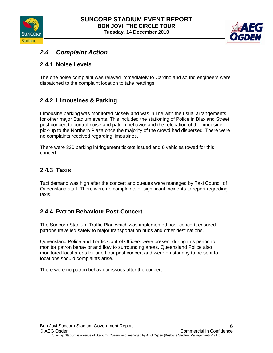



## *2.4 Complaint Action*

#### **2.4.1 Noise Levels**

The one noise complaint was relayed immediately to Cardno and sound engineers were dispatched to the complaint location to take readings.

#### **2.4.2 Limousines & Parking**

Limousine parking was monitored closely and was in line with the usual arrangements for other major Stadium events. This included the stationing of Police in Blaxland Street post concert to control noise and patron behavior and the relocation of the limousine pick-up to the Northern Plaza once the majority of the crowd had dispersed. There were no complaints received regarding limousines.

There were 330 parking infringement tickets issued and 6 vehicles towed for this concert.

#### **2.4.3 Taxis**

Taxi demand was high after the concert and queues were managed by Taxi Council of Queensland staff. There were no complaints or significant incidents to report regarding taxis.

#### **2.4.4 Patron Behaviour Post-Concert**

The Suncorp Stadium Traffic Plan which was implemented post-concert, ensured patrons travelled safely to major transportation hubs and other destinations.

Queensland Police and Traffic Control Officers were present during this period to monitor patron behavior and flow to surrounding areas. Queensland Police also monitored local areas for one hour post concert and were on standby to be sent to locations should complaints arise.

There were no patron behaviour issues after the concert.